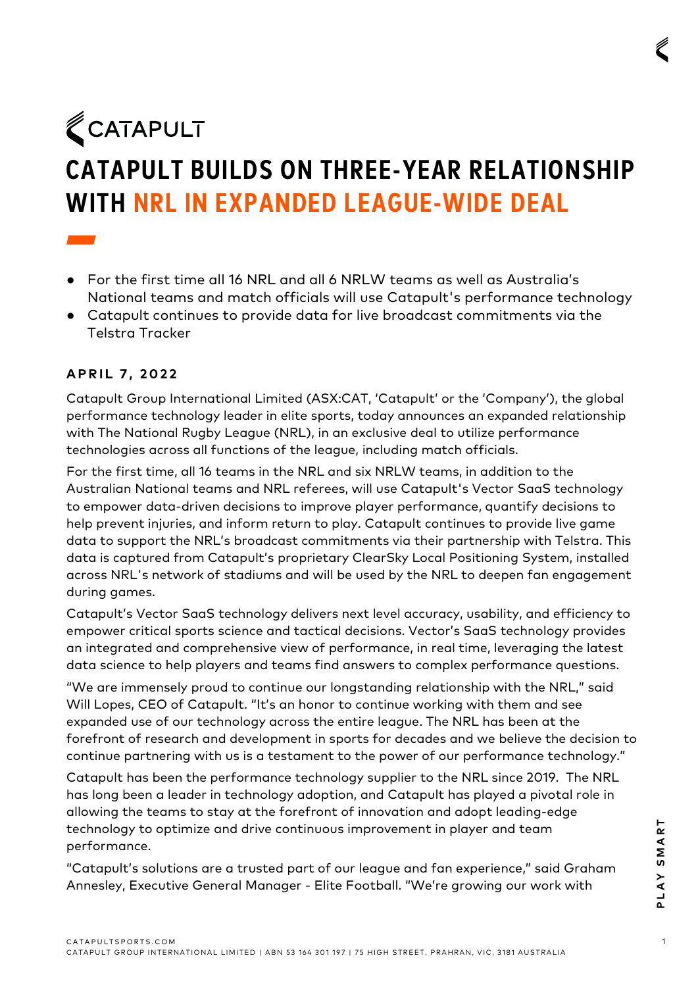CATAPULT

## **CATAPULT BUILDS ON THREE-YEAR RELATIONSHIP WITH NRL IN EXPANDED LEAGUE-WIDE DEAL**

- For the first time all 16 NRL and all 6 NRLW teams as well as Australia's National teams and match officials will use Catapult's performance technology
- Catapult continues to provide data for live broadcast commitments via the Telstra Tracker

## **APRIL 7 , 2022**

Catapult Group International Limited (ASX:CAT, 'Catapult' or the 'Company'), the global performance technology leader in elite sports, today announces an expanded relationship with The National Rugby League (NRL), in an exclusive deal to utilize performance technologies across all functions of the league, including match officials.

For the first time, all 16 teams in the NRL and six NRLW teams, in addition to the Australian National teams and NRL referees, will use Catapult's Vector SaaS technology to empower data-driven decisions to improve player performance, quantify decisions to help prevent injuries, and inform return to play. Catapult continues to provide live game data to support the NRL's broadcast commitments via their partnership with Telstra. This data is captured from Catapult's proprietary ClearSky Local Positioning System, installed across NRL's network of stadiums and will be used by the NRL to deepen fan engagement during games.

Catapult's Vector SaaS technology delivers next level accuracy, usability, and efficiency to empower critical sports science and tactical decisions. Vector's SaaS technology provides an integrated and comprehensive view of performance, in real time, leveraging the latest data science to help players and teams find answers to complex performance questions.

"We are immensely proud to continue our longstanding relationship with the NRL," said Will Lopes, CEO of Catapult. "It's an honor to continue working with them and see expanded use of our technology across the entire league. The NRL has been at the forefront of research and development in sports for decades and we believe the decision to continue partnering with us is a testament to the power of our performance technology."

The chinology to optimize and drive continuous improvement in player and team<br>
performance.<br>
"Catapult's solutions are a trusted part of our league and fan experience," said Graham<br>
Annesley, Executive General Manager - El Catapult has been the performance technology supplier to the NRL since 2019. The NRL has long been a leader in technology adoption, and Catapult has played a pivotal role in allowing the teams to stay at the forefront of innovation and adopt leading-edge technology to optimize and drive continuous improvement in player and team performance.

"Catapult's solutions are a trusted part of our league and fan experience," said Graham Annesley, Executive General Manager - Elite Football. "We're growing our work with